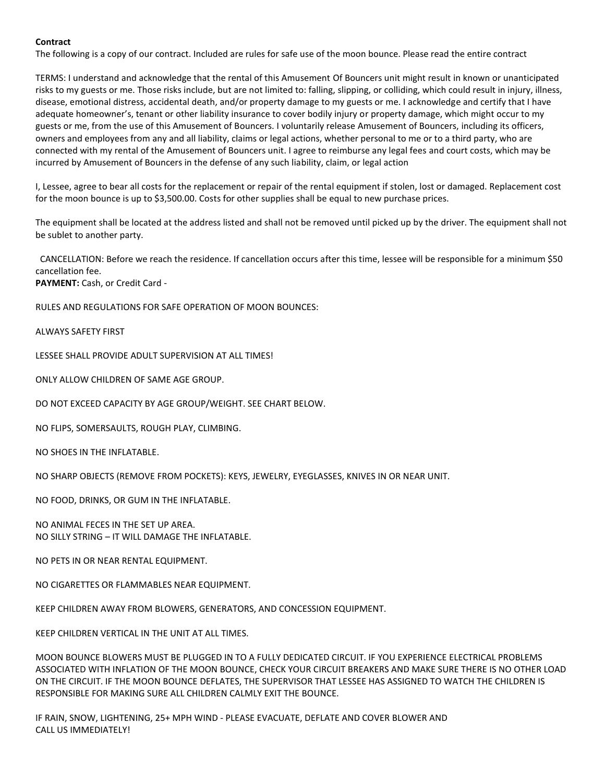## **Contract**

The following is a copy of our contract. Included are rules for safe use of the moon bounce. Please read the entire contract

TERMS: I understand and acknowledge that the rental of this Amusement Of Bouncers unit might result in known or unanticipated risks to my guests or me. Those risks include, but are not limited to: falling, slipping, or colliding, which could result in injury, illness, disease, emotional distress, accidental death, and/or property damage to my guests or me. I acknowledge and certify that I have adequate homeowner's, tenant or other liability insurance to cover bodily injury or property damage, which might occur to my guests or me, from the use of this Amusement of Bouncers. I voluntarily release Amusement of Bouncers, including its officers, owners and employees from any and all liability, claims or legal actions, whether personal to me or to a third party, who are connected with my rental of the Amusement of Bouncers unit. I agree to reimburse any legal fees and court costs, which may be incurred by Amusement of Bouncers in the defense of any such liability, claim, or legal action

I, Lessee, agree to bear all costs for the replacement or repair of the rental equipment if stolen, lost or damaged. Replacement cost for the moon bounce is up to \$3,500.00. Costs for other supplies shall be equal to new purchase prices.

The equipment shall be located at the address listed and shall not be removed until picked up by the driver. The equipment shall not be sublet to another party.

CANCELLATION: Before we reach the residence. If cancellation occurs after this time, lessee will be responsible for a minimum \$50 cancellation fee.

**PAYMENT:** Cash, or Credit Card -

RULES AND REGULATIONS FOR SAFE OPERATION OF MOON BOUNCES:

ALWAYS SAFETY FIRST

LESSEE SHALL PROVIDE ADULT SUPERVISION AT ALL TIMES!

ONLY ALLOW CHILDREN OF SAME AGE GROUP.

DO NOT EXCEED CAPACITY BY AGE GROUP/WEIGHT. SEE CHART BELOW.

NO FLIPS, SOMERSAULTS, ROUGH PLAY, CLIMBING.

NO SHOES IN THE INFLATABLE.

NO SHARP OBJECTS (REMOVE FROM POCKETS): KEYS, JEWELRY, EYEGLASSES, KNIVES IN OR NEAR UNIT.

NO FOOD, DRINKS, OR GUM IN THE INFLATABLE.

NO ANIMAL FECES IN THE SET UP AREA. NO SILLY STRING – IT WILL DAMAGE THE INFLATABLE.

NO PETS IN OR NEAR RENTAL EQUIPMENT.

NO CIGARETTES OR FLAMMABLES NEAR EQUIPMENT.

KEEP CHILDREN AWAY FROM BLOWERS, GENERATORS, AND CONCESSION EQUIPMENT.

KEEP CHILDREN VERTICAL IN THE UNIT AT ALL TIMES.

MOON BOUNCE BLOWERS MUST BE PLUGGED IN TO A FULLY DEDICATED CIRCUIT. IF YOU EXPERIENCE ELECTRICAL PROBLEMS ASSOCIATED WITH INFLATION OF THE MOON BOUNCE, CHECK YOUR CIRCUIT BREAKERS AND MAKE SURE THERE IS NO OTHER LOAD ON THE CIRCUIT. IF THE MOON BOUNCE DEFLATES, THE SUPERVISOR THAT LESSEE HAS ASSIGNED TO WATCH THE CHILDREN IS RESPONSIBLE FOR MAKING SURE ALL CHILDREN CALMLY EXIT THE BOUNCE.

IF RAIN, SNOW, LIGHTENING, 25+ MPH WIND - PLEASE EVACUATE, DEFLATE AND COVER BLOWER AND CALL US IMMEDIATELY!